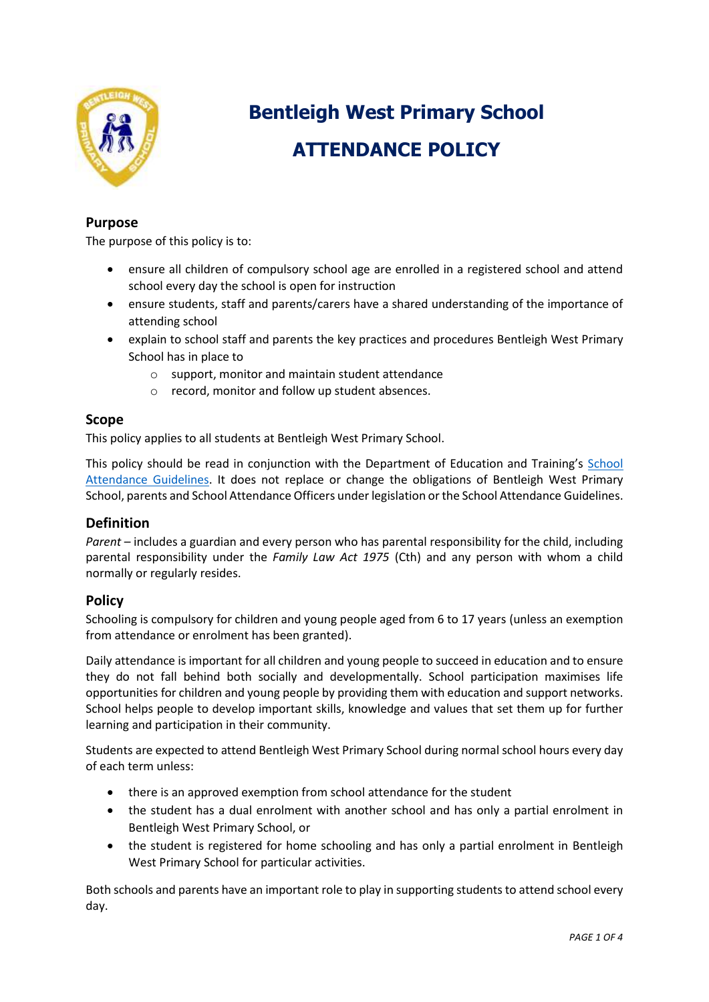

# **Bentleigh West Primary School ATTENDANCE POLICY**

# **Purpose**

The purpose of this policy is to:

- ensure all children of compulsory school age are enrolled in a registered school and attend school every day the school is open for instruction
- ensure students, staff and parents/carers have a shared understanding of the importance of attending school
- explain to school staff and parents the key practices and procedures Bentleigh West Primary School has in place to
	- o support, monitor and maintain student attendance
	- o record, monitor and follow up student absences.

## **Scope**

This policy applies to all students at Bentleigh West Primary School.

This policy should be read in conjunction with the Department of Education and Training's [School](http://www.education.vic.gov.au/school/teachers/studentmanagement/Pages/attendance.aspx)  [Attendance Guidelines.](http://www.education.vic.gov.au/school/teachers/studentmanagement/Pages/attendance.aspx) It does not replace or change the obligations of Bentleigh West Primary School, parents and School Attendance Officers under legislation or the School Attendance Guidelines.

## **Definition**

*Parent* – includes a guardian and every person who has parental responsibility for the child, including parental responsibility under the *Family Law Act 1975* (Cth) and any person with whom a child normally or regularly resides.

## **Policy**

Schooling is compulsory for children and young people aged from 6 to 17 years (unless an exemption from attendance or enrolment has been granted).

Daily attendance is important for all children and young people to succeed in education and to ensure they do not fall behind both socially and developmentally. School participation maximises life opportunities for children and young people by providing them with education and support networks. School helps people to develop important skills, knowledge and values that set them up for further learning and participation in their community.

Students are expected to attend Bentleigh West Primary School during normal school hours every day of each term unless:

- there is an approved exemption from school attendance for the student
- the student has a dual enrolment with another school and has only a partial enrolment in Bentleigh West Primary School, or
- the student is registered for home schooling and has only a partial enrolment in Bentleigh West Primary School for particular activities.

Both schools and parents have an important role to play in supporting students to attend school every day.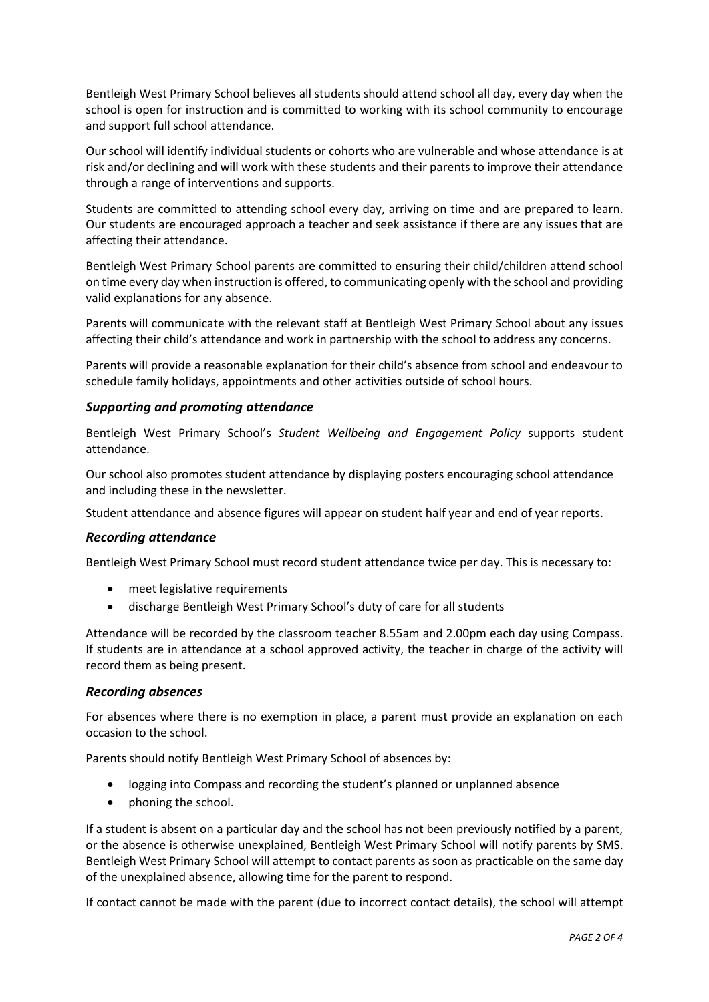Bentleigh West Primary School believes all students should attend school all day, every day when the school is open for instruction and is committed to working with its school community to encourage and support full school attendance.

Our school will identify individual students or cohorts who are vulnerable and whose attendance is at risk and/or declining and will work with these students and their parents to improve their attendance through a range of interventions and supports.

Students are committed to attending school every day, arriving on time and are prepared to learn. Our students are encouraged approach a teacher and seek assistance if there are any issues that are affecting their attendance.

Bentleigh West Primary School parents are committed to ensuring their child/children attend school on time every day when instruction is offered, to communicating openly with the school and providing valid explanations for any absence.

Parents will communicate with the relevant staff at Bentleigh West Primary School about any issues affecting their child's attendance and work in partnership with the school to address any concerns.

Parents will provide a reasonable explanation for their child's absence from school and endeavour to schedule family holidays, appointments and other activities outside of school hours.

## *Supporting and promoting attendance*

Bentleigh West Primary School's *Student Wellbeing and Engagement Policy* supports student attendance.

Our school also promotes student attendance by displaying posters encouraging school attendance and including these in the newsletter.

Student attendance and absence figures will appear on student half year and end of year reports.

#### *Recording attendance*

Bentleigh West Primary School must record student attendance twice per day. This is necessary to:

- meet legislative requirements
- discharge Bentleigh West Primary School's duty of care for all students

Attendance will be recorded by the classroom teacher 8.55am and 2.00pm each day using Compass. If students are in attendance at a school approved activity, the teacher in charge of the activity will record them as being present.

#### *Recording absences*

For absences where there is no exemption in place, a parent must provide an explanation on each occasion to the school.

Parents should notify Bentleigh West Primary School of absences by:

- logging into Compass and recording the student's planned or unplanned absence
- phoning the school.

If a student is absent on a particular day and the school has not been previously notified by a parent, or the absence is otherwise unexplained, Bentleigh West Primary School will notify parents by SMS. Bentleigh West Primary School will attempt to contact parents as soon as practicable on the same day of the unexplained absence, allowing time for the parent to respond.

If contact cannot be made with the parent (due to incorrect contact details), the school will attempt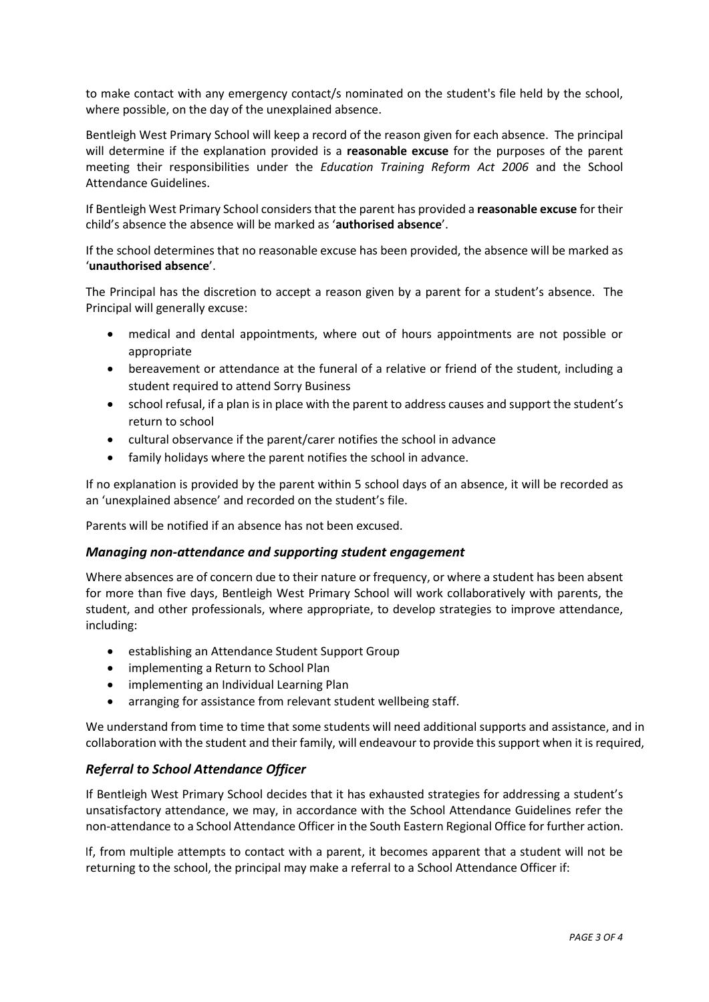to make contact with any emergency contact/s nominated on the student's file held by the school, where possible, on the day of the unexplained absence.

Bentleigh West Primary School will keep a record of the reason given for each absence. The principal will determine if the explanation provided is a **reasonable excuse** for the purposes of the parent meeting their responsibilities under the *Education Training Reform Act 2006* and the School Attendance Guidelines.

If Bentleigh West Primary School considers that the parent has provided a **reasonable excuse** for their child's absence the absence will be marked as '**authorised absence**'.

If the school determines that no reasonable excuse has been provided, the absence will be marked as '**unauthorised absence**'.

The Principal has the discretion to accept a reason given by a parent for a student's absence. The Principal will generally excuse:

- medical and dental appointments, where out of hours appointments are not possible or appropriate
- bereavement or attendance at the funeral of a relative or friend of the student, including a student required to attend Sorry Business
- school refusal, if a plan is in place with the parent to address causes and support the student's return to school
- cultural observance if the parent/carer notifies the school in advance
- family holidays where the parent notifies the school in advance.

If no explanation is provided by the parent within 5 school days of an absence, it will be recorded as an 'unexplained absence' and recorded on the student's file.

Parents will be notified if an absence has not been excused.

#### *Managing non-attendance and supporting student engagement*

Where absences are of concern due to their nature or frequency, or where a student has been absent for more than five days, Bentleigh West Primary School will work collaboratively with parents, the student, and other professionals, where appropriate, to develop strategies to improve attendance, including:

- establishing an Attendance Student Support Group
- implementing a Return to School Plan
- implementing an Individual Learning Plan
- arranging for assistance from relevant student wellbeing staff.

We understand from time to time that some students will need additional supports and assistance, and in collaboration with the student and their family, will endeavour to provide this support when it is required,

#### *Referral to School Attendance Officer*

If Bentleigh West Primary School decides that it has exhausted strategies for addressing a student's unsatisfactory attendance, we may, in accordance with the School Attendance Guidelines refer the non-attendance to a School Attendance Officer in the South Eastern Regional Office for further action.

If, from multiple attempts to contact with a parent, it becomes apparent that a student will not be returning to the school, the principal may make a referral to a School Attendance Officer if: